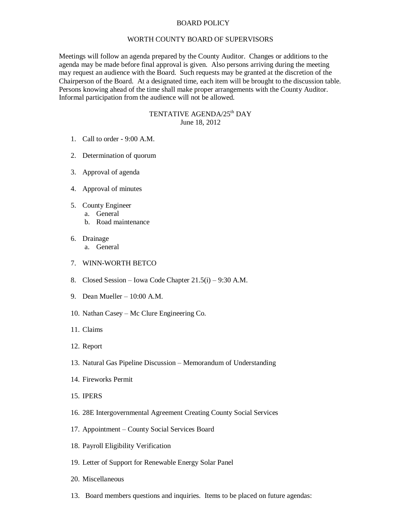## BOARD POLICY

## WORTH COUNTY BOARD OF SUPERVISORS

Meetings will follow an agenda prepared by the County Auditor. Changes or additions to the agenda may be made before final approval is given. Also persons arriving during the meeting may request an audience with the Board. Such requests may be granted at the discretion of the Chairperson of the Board. At a designated time, each item will be brought to the discussion table. Persons knowing ahead of the time shall make proper arrangements with the County Auditor. Informal participation from the audience will not be allowed.

## TENTATIVE AGENDA/25<sup>th</sup> DAY June 18, 2012

- 1. Call to order 9:00 A.M.
- 2. Determination of quorum
- 3. Approval of agenda
- 4. Approval of minutes
- 5. County Engineer
	- a. General
		- b. Road maintenance
- 6. Drainage
	- a. General
- 7. WINN-WORTH BETCO
- 8. Closed Session Iowa Code Chapter 21.5(i) 9:30 A.M.
- 9. Dean Mueller 10:00 A.M.
- 10. Nathan Casey Mc Clure Engineering Co.
- 11. Claims
- 12. Report
- 13. Natural Gas Pipeline Discussion Memorandum of Understanding
- 14. Fireworks Permit
- 15. IPERS
- 16. 28E Intergovernmental Agreement Creating County Social Services
- 17. Appointment County Social Services Board
- 18. Payroll Eligibility Verification
- 19. Letter of Support for Renewable Energy Solar Panel
- 20. Miscellaneous
- 13. Board members questions and inquiries. Items to be placed on future agendas: